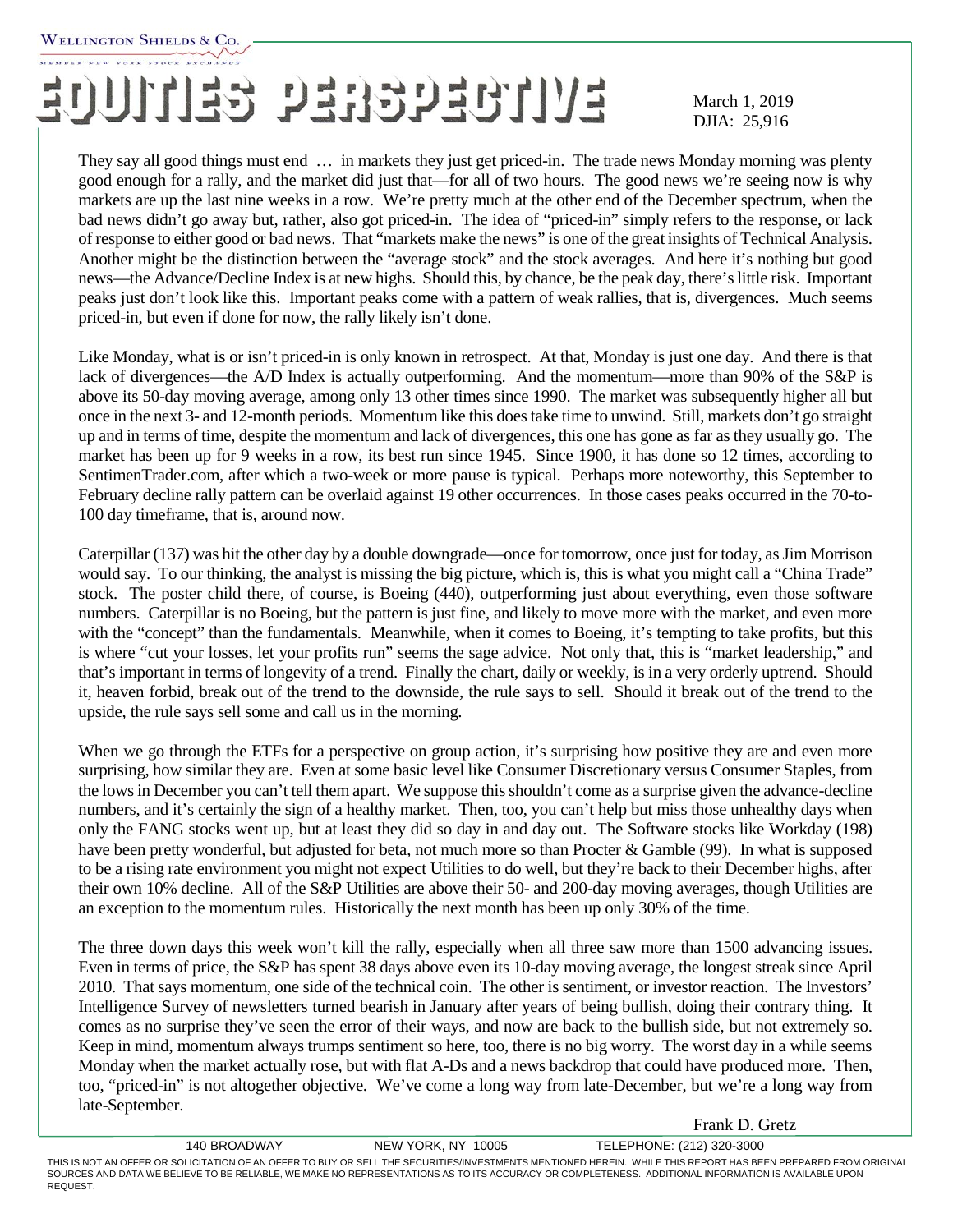## EUUITIES PERSPECTIVE March 1, 2019

March 1, 2019

Frank D. Gretz

They say all good things must end … in markets they just get priced-in. The trade news Monday morning was plenty good enough for a rally, and the market did just that—for all of two hours. The good news we're seeing now is why markets are up the last nine weeks in a row. We're pretty much at the other end of the December spectrum, when the bad news didn't go away but, rather, also got priced-in. The idea of "priced-in" simply refers to the response, or lack of response to either good or bad news. That "markets make the news" is one of the great insights of Technical Analysis. Another might be the distinction between the "average stock" and the stock averages. And here it's nothing but good news—the Advance/Decline Index is at new highs. Should this, by chance, be the peak day, there's little risk. Important peaks just don't look like this. Important peaks come with a pattern of weak rallies, that is, divergences. Much seems priced-in, but even if done for now, the rally likely isn't done.

Like Monday, what is or isn't priced-in is only known in retrospect. At that, Monday is just one day. And there is that lack of divergences—the A/D Index is actually outperforming. And the momentum—more than 90% of the S&P is above its 50-day moving average, among only 13 other times since 1990. The market was subsequently higher all but once in the next 3- and 12-month periods. Momentum like this does take time to unwind. Still, markets don't go straight up and in terms of time, despite the momentum and lack of divergences, this one has gone as far as they usually go. The market has been up for 9 weeks in a row, its best run since 1945. Since 1900, it has done so 12 times, according to SentimenTrader.com, after which a two-week or more pause is typical. Perhaps more noteworthy, this September to February decline rally pattern can be overlaid against 19 other occurrences. In those cases peaks occurred in the 70-to-100 day timeframe, that is, around now.

Caterpillar (137) was hit the other day by a double downgrade—once for tomorrow, once just for today, as Jim Morrison would say. To our thinking, the analyst is missing the big picture, which is, this is what you might call a "China Trade" stock. The poster child there, of course, is Boeing (440), outperforming just about everything, even those software numbers. Caterpillar is no Boeing, but the pattern is just fine, and likely to move more with the market, and even more with the "concept" than the fundamentals. Meanwhile, when it comes to Boeing, it's tempting to take profits, but this is where "cut your losses, let your profits run" seems the sage advice. Not only that, this is "market leadership," and that's important in terms of longevity of a trend. Finally the chart, daily or weekly, is in a very orderly uptrend. Should it, heaven forbid, break out of the trend to the downside, the rule says to sell. Should it break out of the trend to the upside, the rule says sell some and call us in the morning.

When we go through the ETFs for a perspective on group action, it's surprising how positive they are and even more surprising, how similar they are. Even at some basic level like Consumer Discretionary versus Consumer Staples, from the lows in December you can't tell them apart. We suppose this shouldn't come as a surprise given the advance-decline numbers, and it's certainly the sign of a healthy market. Then, too, you can't help but miss those unhealthy days when only the FANG stocks went up, but at least they did so day in and day out. The Software stocks like Workday (198) have been pretty wonderful, but adjusted for beta, not much more so than Procter & Gamble (99). In what is supposed to be a rising rate environment you might not expect Utilities to do well, but they're back to their December highs, after their own 10% decline. All of the S&P Utilities are above their 50- and 200-day moving averages, though Utilities are an exception to the momentum rules. Historically the next month has been up only 30% of the time.

The three down days this week won't kill the rally, especially when all three saw more than 1500 advancing issues. Even in terms of price, the S&P has spent 38 days above even its 10-day moving average, the longest streak since April 2010. That says momentum, one side of the technical coin. The other is sentiment, or investor reaction. The Investors' Intelligence Survey of newsletters turned bearish in January after years of being bullish, doing their contrary thing. It comes as no surprise they've seen the error of their ways, and now are back to the bullish side, but not extremely so. Keep in mind, momentum always trumps sentiment so here, too, there is no big worry. The worst day in a while seems Monday when the market actually rose, but with flat A-Ds and a news backdrop that could have produced more. Then, too, "priced-in" is not altogether objective. We've come a long way from late-December, but we're a long way from late-September.

140 BROADWAY NEW YORK, NY 10005 TELEPHONE: (212) 320-3000 THIS IS NOT AN OFFER OR SOLICITATION OF AN OFFER TO BUY OR SELL THE SECURITIES/INVESTMENTS MENTIONED HEREIN. WHILE THIS REPORT HAS BEEN PREPARED FROM ORIGINAL SOURCES AND DATA WE BELIEVE TO BE RELIABLE, WE MAKE NO REPRESENTATIONS AS TO ITS ACCURACY OR COMPLETENESS. ADDITIONAL INFORMATION IS AVAILABLE UPON REQUEST.